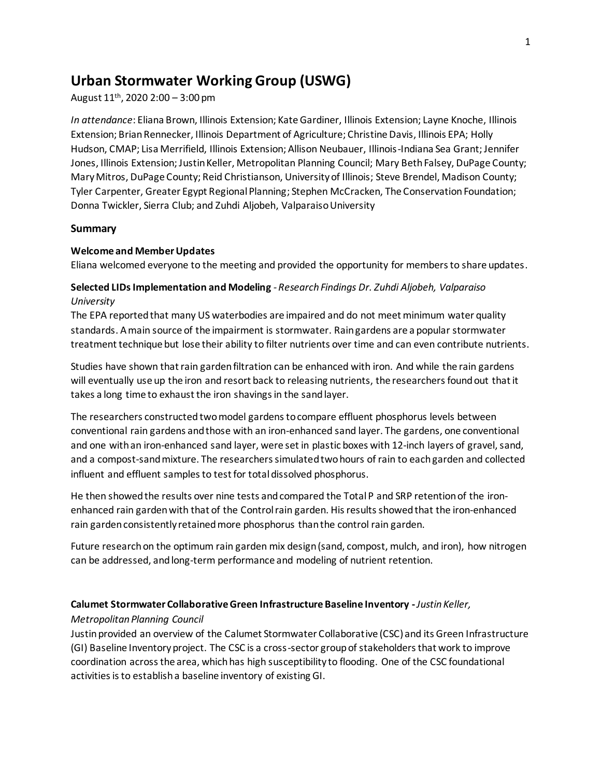# **Urban Stormwater Working Group (USWG)**

August 11th, 2020 2:00 – 3:00 pm

*In attendance*: Eliana Brown, Illinois Extension; Kate Gardiner, Illinois Extension; Layne Knoche, Illinois Extension; Brian Rennecker, Illinois Department of Agriculture; Christine Davis, Illinois EPA; Holly Hudson, CMAP; Lisa Merrifield, Illinois Extension; Allison Neubauer, Illinois-Indiana Sea Grant; Jennifer Jones, Illinois Extension; Justin Keller, Metropolitan Planning Council; Mary Beth Falsey, DuPage County; Mary Mitros, DuPage County; Reid Christianson, University of Illinois; Steve Brendel, Madison County; Tyler Carpenter, Greater Egypt Regional Planning; Stephen McCracken, The Conservation Foundation; Donna Twickler, Sierra Club; and Zuhdi Aljobeh, Valparaiso University

## **Summary**

### **Welcome and Member Updates**

Eliana welcomed everyone to the meeting and provided the opportunity for members to share updates.

# **Selected LIDs Implementation and Modeling** *-Research Findings Dr. Zuhdi Aljobeh, Valparaiso University*

The EPA reported that many US waterbodies are impaired and do not meet minimum water quality standards. A main source of the impairment is stormwater. Rain gardens are a popular stormwater treatment technique but lose their ability to filter nutrients over time and can even contribute nutrients.

Studies have shown that rain garden filtration can be enhanced with iron. And while the rain gardens will eventually use up the iron and resort back to releasing nutrients, the researchers found out that it takes a long time to exhaust the iron shavings in the sand layer.

The researchers constructed two model gardensto compare effluent phosphorus levels between conventional rain gardens and those with an iron-enhanced sand layer. The gardens, one conventional and one with an iron-enhanced sand layer, were set in plastic boxes with 12-inch layers of gravel, sand, and a compost-sand mixture. The researchers simulated two hours of rain to each garden and collected influent and effluent samples to test for total dissolved phosphorus.

He then showed the results over nine tests and compared the Total P and SRP retention of the ironenhanced rain garden with that of the Control rain garden. His results showed that the iron-enhanced rain garden consistently retained more phosphorus than the control rain garden.

Future research on the optimum rain garden mix design (sand, compost, mulch, and iron), how nitrogen can be addressed, and long-term performance and modeling of nutrient retention.

## **Calumet Stormwater Collaborative Green Infrastructure Baseline Inventory -***Justin Keller,*

#### *Metropolitan Planning Council*

Justin provided an overview of the Calumet Stormwater Collaborative (CSC) and its Green Infrastructure (GI) Baseline Inventory project. The CSC is a cross-sector group of stakeholders that work to improve coordination across the area, which has high susceptibility to flooding. One of the CSC foundational activities is to establish a baseline inventory of existing GI.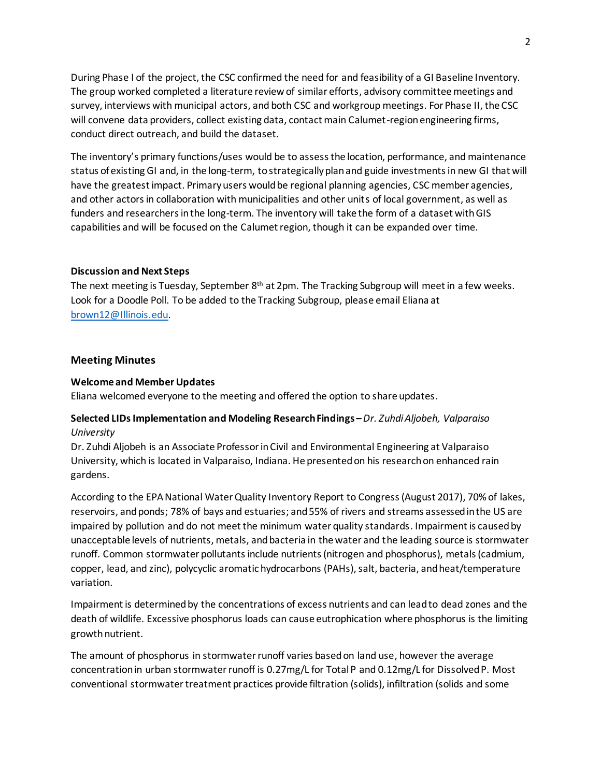During Phase I of the project, the CSC confirmed the need for and feasibility of a GI Baseline Inventory. The group worked completed a literature review of similar efforts, advisory committee meetings and survey, interviews with municipal actors, and both CSC and workgroup meetings. For Phase II, the CSC will convene data providers, collect existing data, contact main Calumet-region engineering firms, conduct direct outreach, and build the dataset.

The inventory's primary functions/uses would be to assess the location, performance, and maintenance status of existing GI and, in the long-term, to strategically plan and guide investments in new GI that will have the greatest impact. Primary users would be regional planning agencies, CSC member agencies, and other actors in collaboration with municipalities and other units of local government, as well as funders and researchers in the long-term. The inventory will take the form of a dataset with GIS capabilities and will be focused on the Calumet region, though it can be expanded over time.

### **Discussion and Next Steps**

The next meeting is Tuesday, September 8<sup>th</sup> at 2pm. The Tracking Subgroup will meet in a few weeks. Look for a Doodle Poll. To be added to the Tracking Subgroup, please email Eliana at [brown12@Illinois.edu.](mailto:brown12@Illinois.edu)

### **Meeting Minutes**

### **Welcome and MemberUpdates**

Eliana welcomed everyone to the meeting and offered the option to share updates.

# **Selected LIDs Implementation and Modeling Research Findings –***Dr. Zuhdi Aljobeh, Valparaiso University*

Dr. Zuhdi Aljobeh is an Associate Professor in Civil and Environmental Engineering at Valparaiso University, which is located in Valparaiso, Indiana. He presented on his research on enhanced rain gardens.

According to the EPA National Water Quality Inventory Report to Congress (August 2017), 70% of lakes, reservoirs, and ponds; 78% of bays and estuaries; and 55% of rivers and streams assessed in the US are impaired by pollution and do not meet the minimum water quality standards. Impairment is caused by unacceptable levels of nutrients, metals, and bacteria in the water and the leading source is stormwater runoff. Common stormwater pollutants include nutrients (nitrogen and phosphorus), metals (cadmium, copper, lead, and zinc), polycyclic aromatic hydrocarbons (PAHs), salt, bacteria, and heat/temperature variation.

Impairment is determined by the concentrations of excess nutrients and can lead to dead zones and the death of wildlife. Excessive phosphorus loads can cause eutrophication where phosphorus is the limiting growth nutrient.

The amount of phosphorus in stormwater runoff varies based on land use, however the average concentration in urban stormwater runoff is 0.27mg/L for Total P and 0.12mg/L for Dissolved P. Most conventional stormwater treatment practices provide filtration (solids), infiltration (solids and some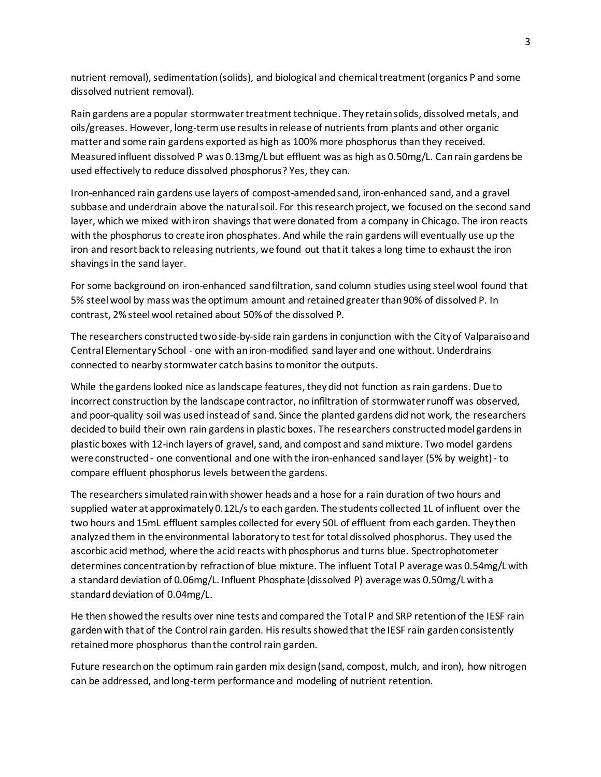nutrient removal), sedimentation (solids), and biological and chemical treatment (organics P and some dissolved nutrient removal).

Rain gardens are a popular stormwater treatment technique. They retain solids, dissolved metals, and oils/greases. However, long-term use results in release of nutrientsfrom plants and other organic matter and some rain gardens exported as high as 100% more phosphorus than they received. Measured influent dissolved P was 0.13mg/L but effluent was as high as 0.50mg/L. Canrain gardens be used effectively to reduce dissolved phosphorus? Yes, they can.

Iron-enhanced rain gardens use layers of compost-amended sand, iron-enhanced sand, and a gravel subbase and underdrain above the natural soil. For this research project, we focused on the second sand layer, which we mixed with iron shavings that were donated from a company in Chicago. The iron reacts with the phosphorus to create iron phosphates. And while the rain gardens will eventually use up the iron and resort back to releasing nutrients, we found out that it takes a long time to exhaust the iron shavings in the sand layer.

For some background on iron-enhanced sand filtration, sand column studies using steel wool found that 5% steel wool by mass was the optimum amount and retained greater than 90% of dissolved P. In contrast, 2% steel wool retained about 50% of the dissolved P.

The researchers constructed two side-by-side rain gardens in conjunction with the City of Valparaiso and Central Elementary School - one with an iron-modified sand layer and one without. Underdrains connected to nearby stormwater catch basins to monitor the outputs.

While the gardens looked nice as landscape features, they did not function as rain gardens. Due to incorrect construction by the landscape contractor, no infiltration of stormwater runoff was observed, and poor-quality soil was used instead of sand. Since the planted gardens did not work, the researchers decided to build their own rain gardens in plastic boxes. The researchers constructed model gardens in plastic boxes with 12-inch layers of gravel, sand, and compost and sand mixture. Two model gardens were constructed - one conventional and one with the iron-enhanced sand layer (5% by weight) - to compare effluent phosphorus levels between the gardens.

The researchers simulated rain with shower heads and a hose for a rain duration of two hours and supplied water at approximately 0.12L/s to each garden. The students collected 1L of influent over the two hours and 15mL effluent samples collected for every 50L of effluent from each garden. They then analyzed them in the environmental laboratory to test for total dissolved phosphorus. They used the ascorbic acid method, where the acid reacts with phosphorus and turns blue. Spectrophotometer determines concentration by refraction of blue mixture. The influent Total P average was 0.54mg/L with a standard deviation of 0.06mg/L. Influent Phosphate (dissolved P) average was 0.50mg/L with a standard deviation of 0.04mg/L.

He then showed the results over nine tests and compared the Total P and SRP retention of the IESF rain garden with that of the Control rain garden. His results showed that the IESF rain garden consistently retained more phosphorus than the control rain garden.

Future research on the optimum rain garden mix design (sand, compost, mulch, and iron), how nitrogen can be addressed, and long-term performance and modeling of nutrient retention.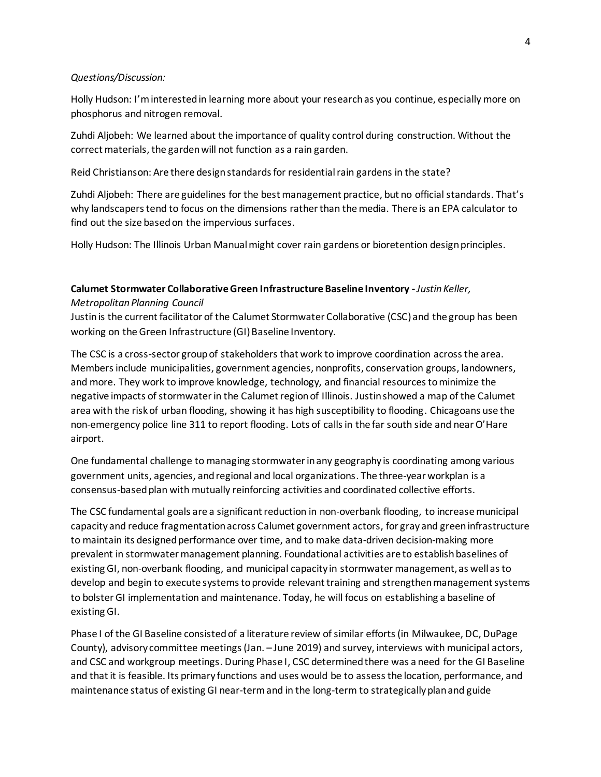#### *Questions/Discussion:*

Holly Hudson: I'm interested in learning more about your research as you continue, especially more on phosphorus and nitrogen removal.

Zuhdi Aljobeh: We learned about the importance of quality control during construction. Without the correct materials, the garden will not function as a rain garden.

Reid Christianson: Are there design standards for residential rain gardens in the state?

Zuhdi Aljobeh: There are guidelines for the best management practice, but no official standards. That's why landscapers tend to focus on the dimensions rather than the media. There is an EPA calculator to find out the size based on the impervious surfaces.

Holly Hudson: The Illinois Urban Manual might cover rain gardens or bioretention design principles.

#### **Calumet Stormwater Collaborative Green Infrastructure Baseline Inventory -***Justin Keller,*

#### *Metropolitan Planning Council*

Justin is the current facilitator of the Calumet Stormwater Collaborative (CSC) and the group has been working on the Green Infrastructure (GI) Baseline Inventory.

The CSC is a cross-sector group of stakeholders that work to improve coordination across the area. Membersinclude municipalities, government agencies, nonprofits, conservation groups, landowners, and more. They work to improve knowledge, technology, and financial resources to minimize the negative impacts of stormwater in the Calumet region of Illinois. Justin showed a map of the Calumet area with the risk of urban flooding, showing it has high susceptibility to flooding. Chicagoans use the non-emergency police line 311 to report flooding. Lots of calls in the far south side and near O'Hare airport.

One fundamental challenge to managing stormwater in any geography is coordinating among various government units, agencies, and regional and local organizations. The three-year workplan is a consensus-based plan with mutually reinforcing activities and coordinated collective efforts.

The CSC fundamental goals are a significant reduction in non-overbank flooding, to increase municipal capacity and reduce fragmentation across Calumet government actors, for gray and green infrastructure to maintain its designed performance over time, and to make data-driven decision-making more prevalent in stormwater management planning. Foundational activities are to establish baselines of existing GI, non-overbank flooding, and municipal capacity in stormwater management, as well as to develop and begin to execute systems to provide relevant training and strengthen management systems to bolster GI implementation and maintenance. Today, he will focus on establishing a baseline of existing GI.

Phase I of the GI Baseline consisted of a literature review of similar efforts (in Milwaukee, DC, DuPage County), advisory committee meetings(Jan. – June 2019) and survey, interviews with municipal actors, and CSC and workgroup meetings. During Phase I, CSC determined there was a need for the GI Baseline and that it is feasible. Its primary functions and uses would be to assess the location, performance, and maintenance status of existing GI near-term and in the long-term to strategically plan and guide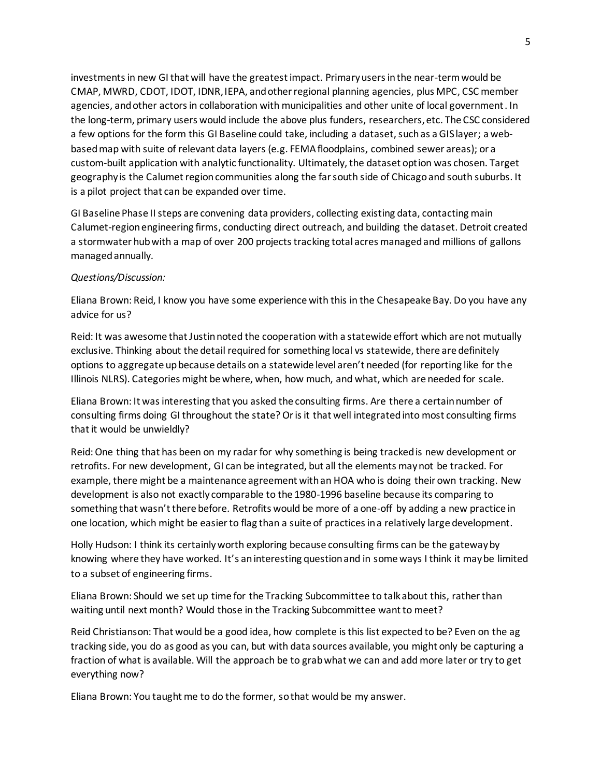investments in new GI that will have the greatest impact. Primary users in the near-term would be CMAP, MWRD, CDOT, IDOT, IDNR, IEPA, and other regional planning agencies, plus MPC, CSC member agencies, and other actors in collaboration with municipalities and other unite of local government. In the long-term, primary users would include the above plus funders, researchers, etc. The CSC considered a few options for the form this GI Baseline could take, including a dataset, such as a GIS layer; a webbased map with suite of relevant data layers (e.g. FEMA floodplains, combined sewer areas); or a custom-built application with analytic functionality. Ultimately, the dataset option was chosen. Target geography is the Calumet region communities along the far south side of Chicago and south suburbs. It is a pilot project that can be expanded over time.

GI Baseline Phase II steps are convening data providers, collecting existing data, contacting main Calumet-region engineering firms, conducting direct outreach, and building the dataset. Detroit created a stormwater hub with a map of over 200 projects tracking total acres managed and millions of gallons managed annually.

### *Questions/Discussion:*

Eliana Brown: Reid, I know you have some experience with this in the Chesapeake Bay. Do you have any advice for us?

Reid: It was awesome that Justin noted the cooperation with a statewide effort which are not mutually exclusive. Thinking about the detail required for something local vs statewide, there are definitely options to aggregate up because details on a statewide level aren't needed (for reporting like for the Illinois NLRS). Categories might be where, when, how much, and what, which are needed for scale.

Eliana Brown: It was interesting that you asked the consulting firms. Are there a certain number of consulting firms doing GI throughout the state? Or is it that well integrated into most consulting firms that it would be unwieldly?

Reid: One thing that has been on my radar for why something is being tracked is new development or retrofits. For new development, GI can be integrated, but all the elements may not be tracked. For example, there might be a maintenance agreement with an HOA who is doing their own tracking. New development is also not exactly comparable to the 1980-1996 baseline because its comparing to something that wasn't there before. Retrofits would be more of a one-off by adding a new practice in one location, which might be easier to flag than a suite of practices in a relatively large development.

Holly Hudson: I think its certainly worth exploring because consulting firms can be the gateway by knowing where they have worked. It's an interesting question and in some ways I think it may be limited to a subset of engineering firms.

Eliana Brown: Should we set up time for the Tracking Subcommittee to talk about this, rather than waiting until next month? Would those in the Tracking Subcommittee want to meet?

Reid Christianson: That would be a good idea, how complete is this list expected to be? Even on the ag tracking side, you do as good as you can, but with data sources available, you might only be capturing a fraction of what is available. Will the approach be to grab what we can and add more later or try to get everything now?

Eliana Brown: You taught me to do the former, so that would be my answer.